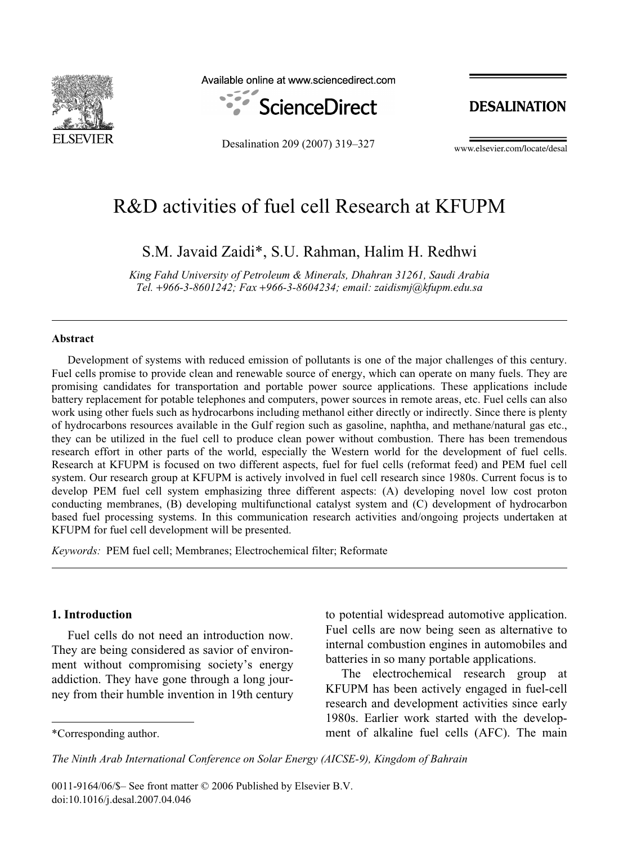

Available online at www.sciencedirect.com



Desalination 209 (2007) 319–327

**DESALINATION** 

www.elsevier.com/locate/desal

## R&D activities of fuel cell Research at KFUPM

S.M. Javaid Zaidi\*, S.U. Rahman, Halim H. Redhwi

*King Fahd University of Petroleum & Minerals, Dhahran 31261, Saudi Arabia Tel. +966-3-8601242; Fax +966-3-8604234; email: zaidismj@kfupm.edu.sa* 

#### **Abstract**

Development of systems with reduced emission of pollutants is one of the major challenges of this century. Fuel cells promise to provide clean and renewable source of energy, which can operate on many fuels. They are promising candidates for transportation and portable power source applications. These applications include battery replacement for potable telephones and computers, power sources in remote areas, etc. Fuel cells can also work using other fuels such as hydrocarbons including methanol either directly or indirectly. Since there is plenty of hydrocarbons resources available in the Gulf region such as gasoline, naphtha, and methane/natural gas etc., they can be utilized in the fuel cell to produce clean power without combustion. There has been tremendous research effort in other parts of the world, especially the Western world for the development of fuel cells. Research at KFUPM is focused on two different aspects, fuel for fuel cells (reformat feed) and PEM fuel cell system. Our research group at KFUPM is actively involved in fuel cell research since 1980s. Current focus is to develop PEM fuel cell system emphasizing three different aspects: (A) developing novel low cost proton conducting membranes, (B) developing multifunctional catalyst system and (C) development of hydrocarbon based fuel processing systems. In this communication research activities and/ongoing projects undertaken at KFUPM for fuel cell development will be presented.

*Keywords:* PEM fuel cell; Membranes; Electrochemical filter; Reformate

### **1. Introduction**

Fuel cells do not need an introduction now. They are being considered as savior of environment without compromising society's energy addiction. They have gone through a long journey from their humble invention in 19th century to potential widespread automotive application. Fuel cells are now being seen as alternative to internal combustion engines in automobiles and batteries in so many portable applications.

The electrochemical research group at KFUPM has been actively engaged in fuel-cell research and development activities since early 1980s. Earlier work started with the develop- \*Corresponding author. ment of alkaline fuel cells (AFC). The main

*The Ninth Arab International Conference on Solar Energy (AICSE-9), Kingdom of Bahrain*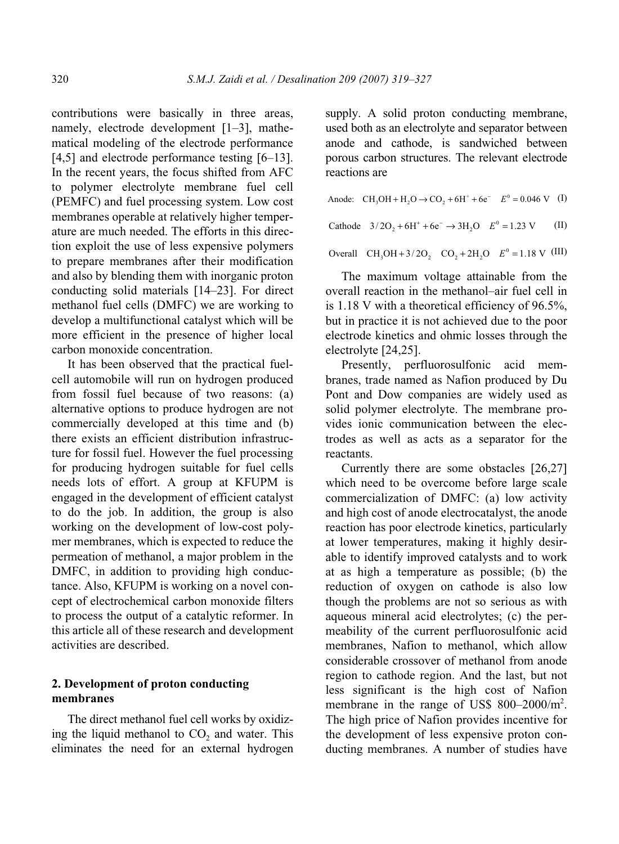contributions were basically in three areas, namely, electrode development [1–3], mathematical modeling of the electrode performance [4,5] and electrode performance testing [6–13]. In the recent years, the focus shifted from AFC to polymer electrolyte membrane fuel cell (PEMFC) and fuel processing system. Low cost membranes operable at relatively higher temperature are much needed. The efforts in this direction exploit the use of less expensive polymers to prepare membranes after their modification and also by blending them with inorganic proton conducting solid materials [14–23]. For direct methanol fuel cells (DMFC) we are working to develop a multifunctional catalyst which will be more efficient in the presence of higher local carbon monoxide concentration.

It has been observed that the practical fuelcell automobile will run on hydrogen produced from fossil fuel because of two reasons: (a) alternative options to produce hydrogen are not commercially developed at this time and (b) there exists an efficient distribution infrastructure for fossil fuel. However the fuel processing for producing hydrogen suitable for fuel cells needs lots of effort. A group at KFUPM is engaged in the development of efficient catalyst to do the job. In addition, the group is also working on the development of low-cost polymer membranes, which is expected to reduce the permeation of methanol, a major problem in the DMFC, in addition to providing high conductance. Also, KFUPM is working on a novel concept of electrochemical carbon monoxide filters to process the output of a catalytic reformer. In this article all of these research and development activities are described.

#### **2. Development of proton conducting membranes**

The direct methanol fuel cell works by oxidizing the liquid methanol to  $CO<sub>2</sub>$  and water. This eliminates the need for an external hydrogen supply. A solid proton conducting membrane, used both as an electrolyte and separator between anode and cathode, is sandwiched between porous carbon structures. The relevant electrode reactions are

| Anode: CH <sub>3</sub> OH + H <sub>2</sub> O $\rightarrow$ CO <sub>2</sub> + 6H <sup>+</sup> + 6e <sup>-</sup> $E^0 = 0.046$ V (I) |      |
|------------------------------------------------------------------------------------------------------------------------------------|------|
| Cathode $3/2O_2 + 6H^+ + 6e^- \rightarrow 3H_2O$ $E^0 = 1.23$ V                                                                    | (II) |

Overall  $CH_3OH + 3/2O_2$   $CO_2 + 2H_2O$   $E^0 = 1.18$  V (III)

The maximum voltage attainable from the overall reaction in the methanol–air fuel cell in is 1.18 V with a theoretical efficiency of 96.5%, but in practice it is not achieved due to the poor electrode kinetics and ohmic losses through the electrolyte [24,25].

Presently, perfluorosulfonic acid membranes, trade named as Nafion produced by Du Pont and Dow companies are widely used as solid polymer electrolyte. The membrane provides ionic communication between the electrodes as well as acts as a separator for the reactants.

Currently there are some obstacles [26,27] which need to be overcome before large scale commercialization of DMFC: (a) low activity and high cost of anode electrocatalyst, the anode reaction has poor electrode kinetics, particularly at lower temperatures, making it highly desirable to identify improved catalysts and to work at as high a temperature as possible; (b) the reduction of oxygen on cathode is also low though the problems are not so serious as with aqueous mineral acid electrolytes; (c) the permeability of the current perfluorosulfonic acid membranes, Nafion to methanol, which allow considerable crossover of methanol from anode region to cathode region. And the last, but not less significant is the high cost of Nafion membrane in the range of US\$ 800-2000/m<sup>2</sup>. The high price of Nafion provides incentive for the development of less expensive proton conducting membranes. A number of studies have